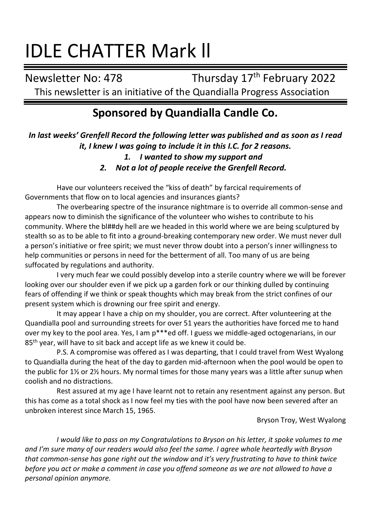# IDLE CHATTER Mark ll

Newsletter No: 478 Thursday 17<sup>th</sup> February 2022 This newsletter is an initiative of the Quandialla Progress Association

# **Sponsored by Quandialla Candle Co.**

#### In last weeks' Grenfell Record the following letter was published and as soon as I read *it, I knew I was going to include it in this I.C. for 2 reasons.*

#### *1. I wanted to show my support and 2. Not a lot of people receive the Grenfell Record.*

Have our volunteers received the "kiss of death" by farcical requirements of Governments that flow on to local agencies and insurances giants?

The overbearing spectre of the insurance nightmare is to override all common-sense and appears now to diminish the significance of the volunteer who wishes to contribute to his community. Where the bl##dy hell are we headed in this world where we are being sculptured by stealth so as to be able to fit into a ground-breaking contemporary new order. We must never dull a person's initiative or free spirit; we must never throw doubt into a person's inner willingness to help communities or persons in need for the betterment of all. Too many of us are being suffocated by regulations and authority.

I very much fear we could possibly develop into a sterile country where we will be forever looking over our shoulder even if we pick up a garden fork or our thinking dulled by continuing fears of offending if we think or speak thoughts which may break from the strict confines of our present system which is drowning our free spirit and energy.

It may appear I have a chip on my shoulder, you are correct. After volunteering at the Quandialla pool and surrounding streets for over 51 years the authorities have forced me to hand over my key to the pool area. Yes, I am p\*\*\*ed off. I guess we middle-aged octogenarians, in our 85<sup>th</sup> year, will have to sit back and accept life as we knew it could be.

P.S. A compromise was offered as I was departing, that I could travel from West Wyalong to Quandialla during the heat of the day to garden mid-afternoon when the pool would be open to the public for 1½ or 2½ hours. My normal times for those many years was a little after sunup when coolish and no distractions.

Rest assured at my age I have learnt not to retain any resentment against any person. But this has come as a total shock as I now feel my ties with the pool have now been severed after an unbroken interest since March 15, 1965.

Bryson Troy, West Wyalong

*I would like to pass on my Congratulations to Bryson on his letter, it spoke volumes to me and I'm sure many of our readers would also feel the same. I agree whole heartedly with Bryson that common-sense has gone right out the window and it's very frustrating to have to think twice before you act or make a comment in case you offend someone as we are not allowed to have a personal opinion anymore.*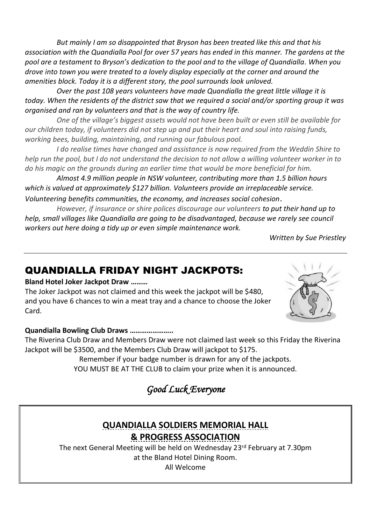*But mainly I am so disappointed that Bryson has been treated like this and that his association with the Quandialla Pool for over 57 years has ended in this manner. The gardens at the pool are a testament to Bryson's dedication to the pool and to the village of Quandialla. When you drove into town you were treated to a lovely display especially at the corner and around the amenities block. Today it is a different story, the pool surrounds look unloved.*

*Over the past 108 years volunteers have made Quandialla the great little village it is today. When the residents of the district saw that we required a social and/or sporting group it was organised and ran by volunteers and that is the way of country life.* 

*One of the village's biggest assets would not have been built or even still be available for our children today, if volunteers did not step up and put their heart and soul into raising funds, working bees, building, maintaining, and running our fabulous pool.*

*I do realise times have changed and assistance is now required from the Weddin Shire to help run the pool, but I do not understand the decision to not allow a willing volunteer worker in to do his magic on the grounds during an earlier time that would be more beneficial for him.*

*Almost 4.9 million people in NSW volunteer, contributing more than 1.5 billion hours which is valued at approximately \$127 billion. Volunteers provide an irreplaceable service. Volunteering benefits communities, the economy, and increases social cohesion*.

*However, if insurance or shire polices discourage our volunteers to put their hand up to help, small villages like Quandialla are going to be disadvantaged, because we rarely see council workers out here doing a tidy up or even simple maintenance work.* 

*Written by Sue Priestley*

## QUANDIALLA FRIDAY NIGHT JACKPOTS:

#### **Bland Hotel Joker Jackpot Draw ………**

The Joker Jackpot was not claimed and this week the jackpot will be \$480, and you have 6 chances to win a meat tray and a chance to choose the Joker Card.



#### **Quandialla Bowling Club Draws …………………..**

The Riverina Club Draw and Members Draw were not claimed last week so this Friday the Riverina Jackpot will be \$3500, and the Members Club Draw will jackpot to \$175.

> Remember if your badge number is drawn for any of the jackpots. YOU MUST BE AT THE CLUB to claim your prize when it is announced.

*Good Luck Everyone* 

### **QUANDIALLA SOLDIERS MEMORIAL HALL & PROGRESS ASSOCIATION**

The next General Meeting will be held on Wednesday 23<sup>rd</sup> February at 7.30pm at the Bland Hotel Dining Room. All Welcome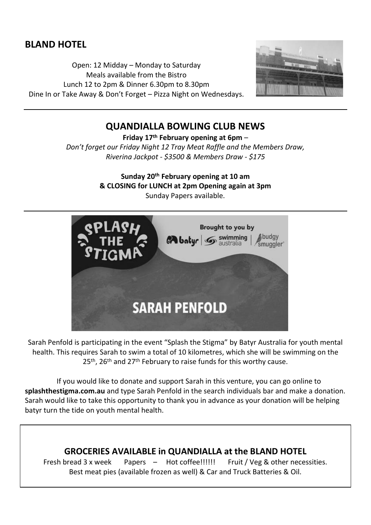#### **BLAND HOTEL**

Open: 12 Midday – Monday to Saturday Meals available from the Bistro Lunch 12 to 2pm & Dinner 6.30pm to 8.30pm Dine In or Take Away & Don't Forget – Pizza Night on Wednesdays.



#### **QUANDIALLA BOWLING CLUB NEWS**

**Friday 17th February opening at 6pm** –

*Don't forget our Friday Night 12 Tray Meat Raffle and the Members Draw, Riverina Jackpot - \$3500 & Members Draw - \$175*

> **Sunday 20th February opening at 10 am & CLOSING for LUNCH at 2pm Opening again at 3pm**  Sunday Papers available.



Sarah Penfold is participating in the event "Splash the Stigma" by Batyr Australia for youth mental health. This requires Sarah to swim a total of 10 kilometres, which she will be swimming on the 25<sup>th</sup>, 26<sup>th</sup> and 27<sup>th</sup> February to raise funds for this worthy cause.

If you would like to donate and support Sarah in this venture, you can go online to **splashthestigma.com.au** and type Sarah Penfold in the search individuals bar and make a donation. Sarah would like to take this opportunity to thank you in advance as your donation will be helping batyr turn the tide on youth mental health.

#### **GROCERIES AVAILABLE in QUANDIALLA at the BLAND HOTEL**

Fresh bread 3 x week Papers – Hot coffee!!!!!! Fruit / Veg & other necessities. Best meat pies (available frozen as well) & Car and Truck Batteries & Oil.